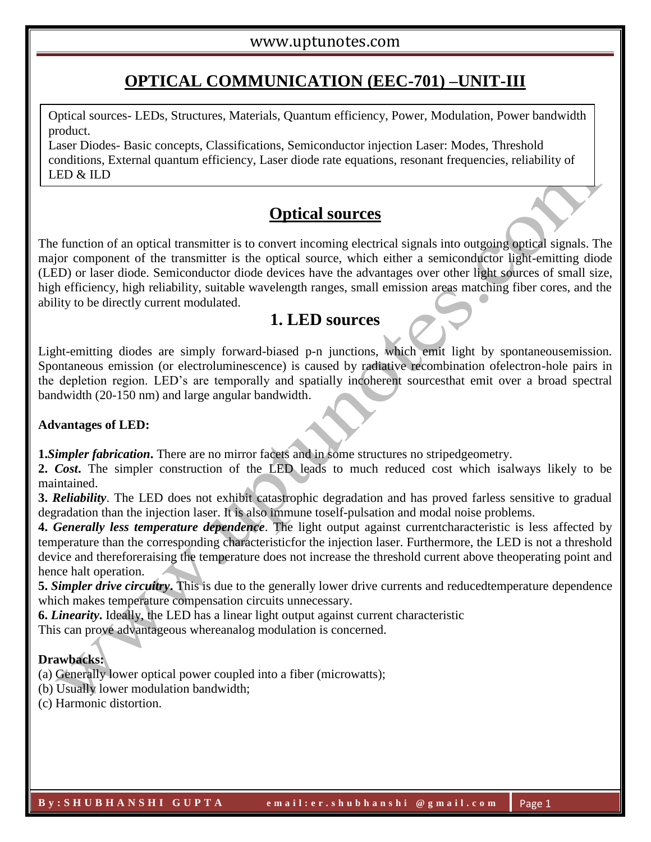# **OPTICAL COMMUNICATION (EEC-701) –UNIT-III**

Optical sources- LEDs, Structures, Materials, Quantum efficiency, Power, Modulation, Power bandwidth product.

Laser Diodes- Basic concepts, Classifications, Semiconductor injection Laser: Modes, Threshold conditions, External quantum efficiency, Laser diode rate equations, resonant frequencies, reliability of LED & ILD

# **Optical sources**

The function of an optical transmitter is to convert incoming electrical signals into outgoing optical signals. The major component of the transmitter is the optical source, which either a semiconductor light-emitting diode (LED) or laser diode. Semiconductor diode devices have the advantages over other light sources of small size, high efficiency, high reliability, suitable wavelength ranges, small emission areas matching fiber cores, and the ability to be directly current modulated.

# **1. LED sources**

Light-emitting diodes are simply forward-biased p-n junctions, which emit light by spontaneousemission. Spontaneous emission (or electroluminescence) is caused by radiative recombination ofelectron-hole pairs in the depletion region. LED's are temporally and spatially incoherent sourcesthat emit over a broad spectral bandwidth (20-150 nm) and large angular bandwidth.

#### **Advantages of LED:**

**1.***Simpler fabrication*. There are no mirror facets and in some structures no stripedgeometry.

**2.** *Cost***.** The simpler construction of the LED leads to much reduced cost which isalways likely to be maintained.

**3.** *Reliability*. The LED does not exhibit catastrophic degradation and has proved farless sensitive to gradual degradation than the injection laser. It is also immune toself-pulsation and modal noise problems.

**4.** *Generally less temperature dependence*. The light output against currentcharacteristic is less affected by temperature than the corresponding characteristicfor the injection laser. Furthermore, the LED is not a threshold device and thereforeraising the temperature does not increase the threshold current above theoperating point and hence halt operation.

**5.** *Simpler drive circuitry***.** This is due to the generally lower drive currents and reducedtemperature dependence which makes temperature compensation circuits unnecessary.

**6.** *Linearity***.** Ideally, the LED has a linear light output against current characteristic

This can prove advantageous whereanalog modulation is concerned.

### **Drawbacks:**

(a) Generally lower optical power coupled into a fiber (microwatts);

- (b) Usually lower modulation bandwidth;
- (c) Harmonic distortion.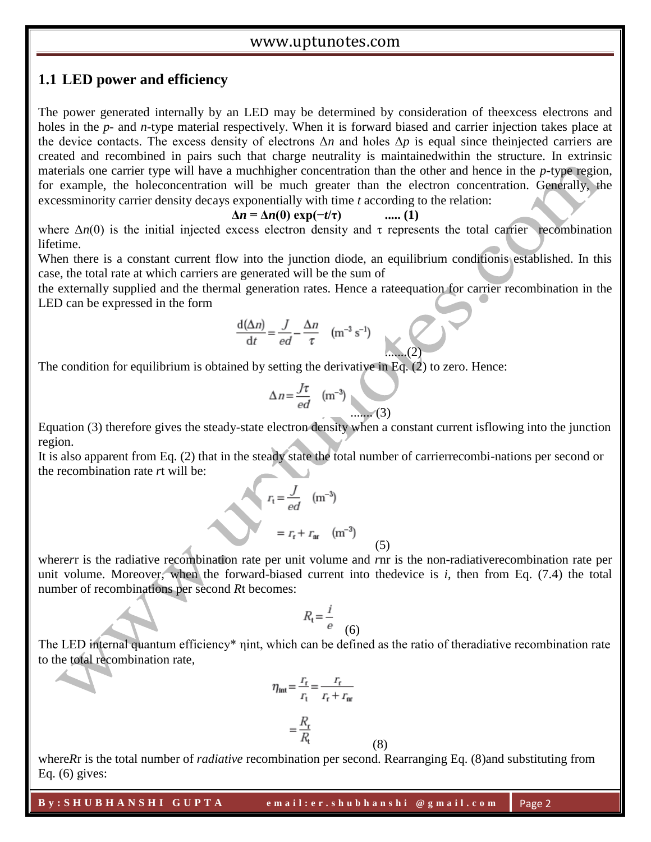### **1.1 LED power and efficiency**

The power generated internally by an LED may be determined by consideration of theexcess electrons and holes in the *p*- and *n*-type material respectively. When it is forward biased and carrier injection takes place at the device contacts. The excess density of electrons Δ*n* and holes Δ*p* is equal since theinjected carriers are created and recombined in pairs such that charge neutrality is maintainedwithin the structure. In extrinsic materials one carrier type will have a muchhigher concentration than the other and hence in the *p*-type region, for example, the holeconcentration will be much greater than the electron concentration. Generally, the excessminority carrier density decays exponentially with time *t* according to the relation:

$$
\Delta n = \Delta n(0) \exp(-t/\tau) \qquad \qquad \dots (1)
$$

where  $\Delta n(0)$  is the initial injected excess electron density and  $\tau$  represents the total carrier recombination lifetime.

When there is a constant current flow into the junction diode, an equilibrium conditionis established. In this case, the total rate at which carriers are generated will be the sum of

the externally supplied and the thermal generation rates. Hence a rateequation for carrier recombination in the LED can be expressed in the form

$$
\frac{d(\Delta n)}{dt} = \frac{J}{ed} - \frac{\Delta n}{\tau} \quad (m^{-3} s^{-1})
$$

The condition for equilibrium is obtained by setting the derivative in Eq. (2) to zero. Hence:

$$
\Delta n = \frac{J\tau}{ed} \quad (\text{m}^{-3})
$$
 (3)

Equation (3) therefore gives the steady-state electron density when a constant current isflowing into the junction region.

It is also apparent from Eq. (2) that in the steady state the total number of carrierrecombi-nations per second or the recombination rate *r*t will be:

$$
r_{\rm t} = \frac{J}{ed} \quad (\text{m}^{-3})
$$

$$
= r_{\rm r} + r_{\rm nr} \quad (\text{m}^{-3})
$$

where*r*r is the radiative recombination rate per unit volume and *r*nr is the non-radiativerecombination rate per unit volume. Moreover, when the forward-biased current into thedevice is *i*, then from Eq. (7.4) the total number of recombinations per second *R*t becomes:

(5)

$$
R_{t} = \frac{i}{e}
$$
 (6)

The LED internal quantum efficiency<sup>\*</sup> nint, which can be defined as the ratio of theradiative recombination rate to the total recombination rate,

$$
\eta_{\text{int}} = \frac{r_{\text{f}}}{r_{\text{t}}} = \frac{r_{\text{r}}}{r_{\text{r}} + r_{\text{nr}}}
$$

$$
= \frac{R_{\text{r}}}{R_{\text{t}}}
$$

where*R*r is the total number of *radiative* recombination per second. Rearranging Eq. (8) and substituting from Eq.  $(6)$  gives:

(8)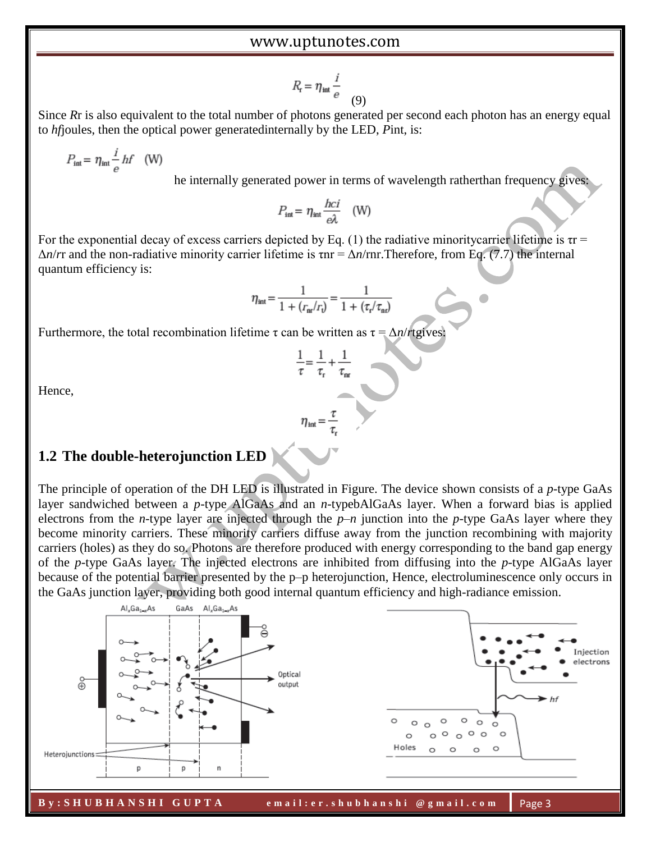$$
R_{\rm r} = \eta_{\rm int} \frac{i}{e} \tag{9}
$$

Since *Rr* is also equivalent to the total number of photons generated per second each photon has an energy equal to *hf*joules, then the optical power generatedinternally by the LED, *P*int, is:

$$
P_{\text{int}} = \eta_{\text{int}} \frac{i}{e} h f \quad (W)
$$

he internally generated power in terms of wavelength ratherthan frequency gives:

$$
P_{\text{int}} = \eta_{\text{int}} \frac{hc}{e\lambda} \quad \text{(W)}
$$

For the exponential decay of excess carriers depicted by Eq. (1) the radiative minoritycarrier lifetime is  $\tau r =$  $\Delta n/rr$  and the non-radiative minority carrier lifetime is  $\tau n = \Delta n/rnr$ . Therefore, from Eq. (7.7) the internal quantum efficiency is:

$$
\eta_{\rm int} = \frac{1}{1 + (r_{\rm int}/r_{\rm t})} = \frac{1}{1 + (\tau_{\rm r}/\tau_{\rm nt})}
$$

Furthermore, the total recombination lifetime τ can be written as τ = Δ*n*/*r*tgives:

$$
\frac{1}{\tau} = \frac{1}{\tau_r} + \frac{1}{\tau_{nr}}
$$
\n
$$
\eta_{int} = \frac{\tau}{\tau}
$$

Hence,

# **1.2 The double-heterojunction LED**

The principle of operation of the DH LED is illustrated in Figure. The device shown consists of a *p*-type GaAs layer sandwiched between a *p*-type AlGaAs and an *n*-typebAlGaAs layer. When a forward bias is applied electrons from the *n*-type layer are injected through the *p*–*n* junction into the *p*-type GaAs layer where they become minority carriers. These minority carriers diffuse away from the junction recombining with majority carriers (holes) as they do so. Photons are therefore produced with energy corresponding to the band gap energy of the *p*-type GaAs layer. The injected electrons are inhibited from diffusing into the *p*-type AlGaAs layer because of the potential barrier presented by the p–p heterojunction, Hence, electroluminescence only occurs in the GaAs junction layer, providing both good internal quantum efficiency and high-radiance emission.

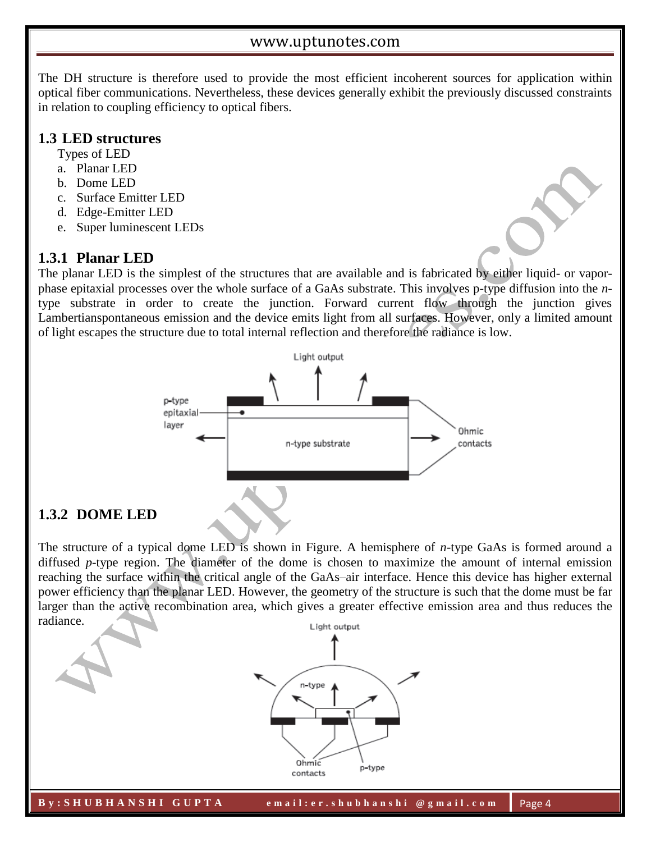The DH structure is therefore used to provide the most efficient incoherent sources for application within optical fiber communications. Nevertheless, these devices generally exhibit the previously discussed constraints in relation to coupling efficiency to optical fibers.

### **1.3 LED structures**

Types of LED

- a. Planar LED
- b. Dome LED
- c. Surface Emitter LED
- d. Edge-Emitter LED
- e. Super luminescent LEDs

# **1.3.1 Planar LED**

The planar LED is the simplest of the structures that are available and is fabricated by either liquid- or vaporphase epitaxial processes over the whole surface of a GaAs substrate. This involves p-type diffusion into the *n*type substrate in order to create the junction. Forward current flow through the junction gives Lambertianspontaneous emission and the device emits light from all surfaces. However, only a limited amount of light escapes the structure due to total internal reflection and therefore the radiance is low.



# **1.3.2 DOME LED**

The structure of a typical dome LED is shown in Figure. A hemisphere of *n*-type GaAs is formed around a diffused *p*-type region. The diameter of the dome is chosen to maximize the amount of internal emission reaching the surface within the critical angle of the GaAs–air interface. Hence this device has higher external power efficiency than the planar LED. However, the geometry of the structure is such that the dome must be far larger than the active recombination area, which gives a greater effective emission area and thus reduces the radiance.

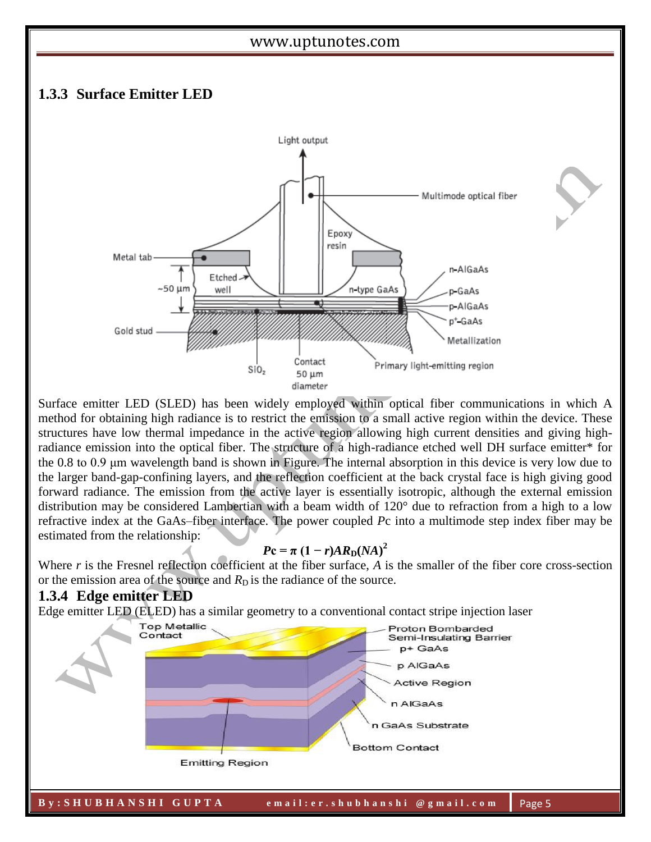## **1.3.3 Surface Emitter LED**



Surface emitter LED (SLED) has been widely employed within optical fiber communications in which A method for obtaining high radiance is to restrict the emission to a small active region within the device. These structures have low thermal impedance in the active region allowing high current densities and giving highradiance emission into the optical fiber. The structure of a high-radiance etched well DH surface emitter\* for the 0.8 to 0.9 μm wavelength band is shown in Figure. The internal absorption in this device is very low due to the larger band-gap-confining layers, and the reflection coefficient at the back crystal face is high giving good forward radiance. The emission from the active layer is essentially isotropic, although the external emission distribution may be considered Lambertian with a beam width of 120° due to refraction from a high to a low refractive index at the GaAs–fiber interface. The power coupled *P*c into a multimode step index fiber may be estimated from the relationship:

## $Pc = \pi (1 - r)AR_D(NA)^2$

Where *r* is the Fresnel reflection coefficient at the fiber surface, *A* is the smaller of the fiber core cross-section or the emission area of the source and  $R<sub>D</sub>$  is the radiance of the source.

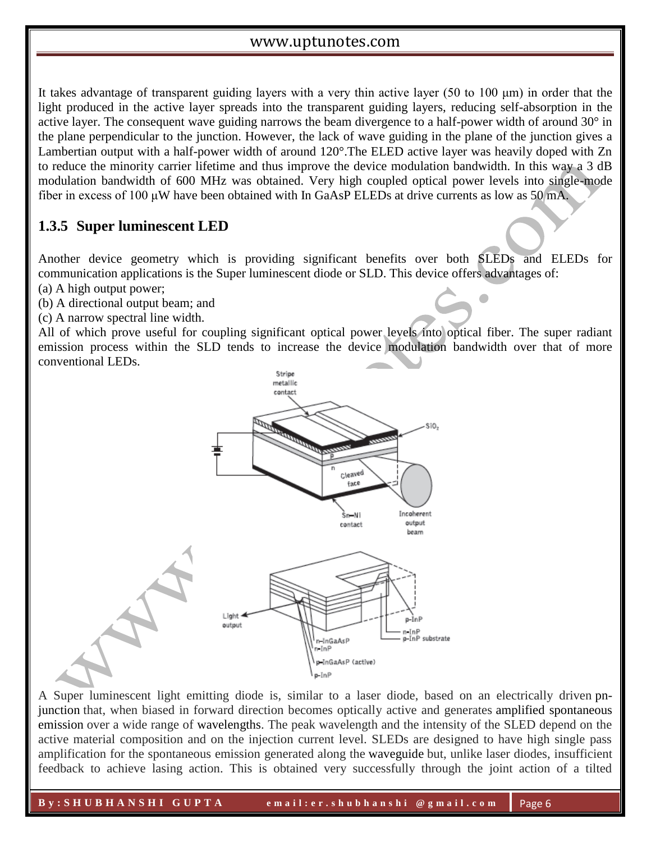It takes advantage of transparent guiding layers with a very thin active layer (50 to 100 μm) in order that the light produced in the active layer spreads into the transparent guiding layers, reducing self-absorption in the active layer. The consequent wave guiding narrows the beam divergence to a half-power width of around 30° in the plane perpendicular to the junction. However, the lack of wave guiding in the plane of the junction gives a Lambertian output with a half-power width of around 120°.The ELED active layer was heavily doped with Zn to reduce the minority carrier lifetime and thus improve the device modulation bandwidth. In this way a 3 dB modulation bandwidth of 600 MHz was obtained. Very high coupled optical power levels into single-mode fiber in excess of 100 μW have been obtained with In GaAsP ELEDs at drive currents as low as 50 mA.

# **1.3.5 Super luminescent LED**

Another device geometry which is providing significant benefits over both SLEDs and ELEDs for communication applications is the Super luminescent diode or SLD. This device offers advantages of:

O

- (a) A high output power;
- (b) A directional output beam; and
- (c) A narrow spectral line width.

All of which prove useful for coupling significant optical power levels into optical fiber. The super radiant emission process within the SLD tends to increase the device modulation bandwidth over that of more conventional LEDs.



A Super luminescent light emitting diode is, similar to a laser diode, based on an electrically driven pnjunction that, when biased in forward direction becomes optically active and generates amplified spontaneous emission over a wide range of wavelengths. The peak wavelength and the intensity of the SLED depend on the active material composition and on the injection current level. SLEDs are designed to have high single pass amplification for the spontaneous emission generated along the waveguide but, unlike laser diodes, insufficient feedback to achieve lasing action. This is obtained very successfully through the joint action of a tilted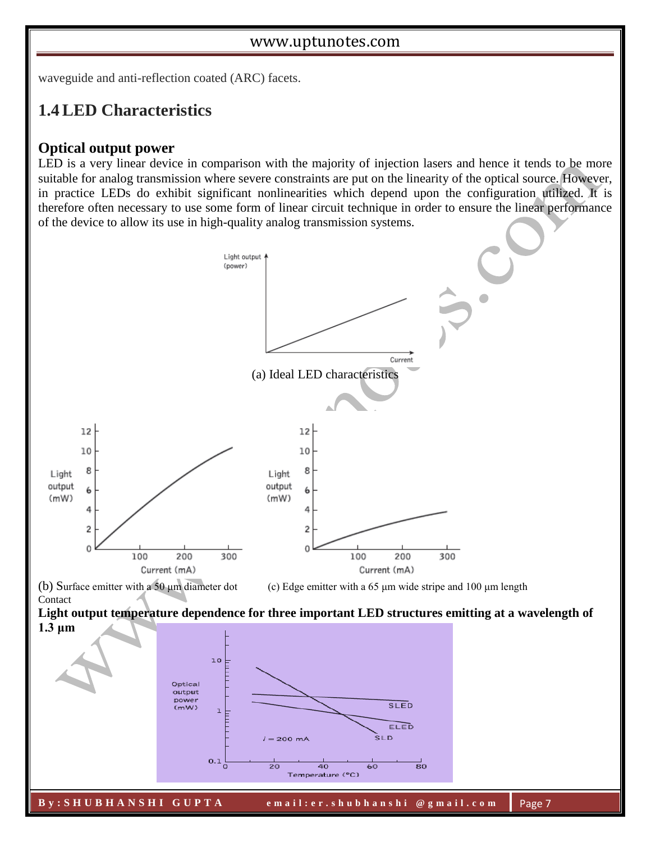waveguide and anti-reflection coated (ARC) facets.

# **1.4LED Characteristics**

#### **Optical output power**

LED is a very linear device in comparison with the majority of injection lasers and hence it tends to be more suitable for analog transmission where severe constraints are put on the linearity of the optical source. However, in practice LEDs do exhibit significant nonlinearities which depend upon the configuration utilized. It is therefore often necessary to use some form of linear circuit technique in order to ensure the linear performance of the device to allow its use in high-quality analog transmission systems.

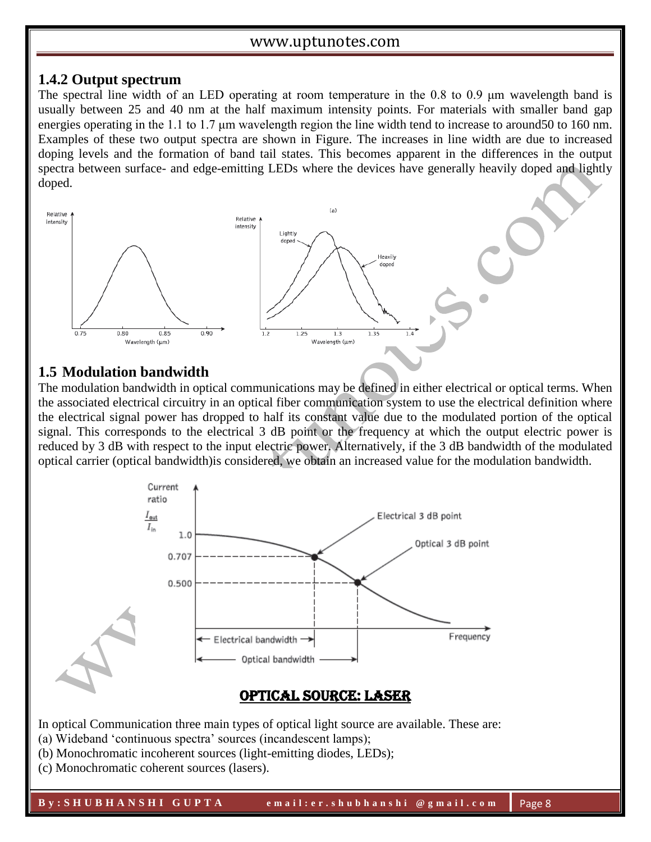#### **1.4.2 Output spectrum**

The spectral line width of an LED operating at room temperature in the 0.8 to 0.9 μm wavelength band is usually between 25 and 40 nm at the half maximum intensity points. For materials with smaller band gap energies operating in the 1.1 to 1.7 μm wavelength region the line width tend to increase to around50 to 160 nm. Examples of these two output spectra are shown in Figure. The increases in line width are due to increased doping levels and the formation of band tail states. This becomes apparent in the differences in the output spectra between surface- and edge-emitting LEDs where the devices have generally heavily doped and lightly doped.



## **1.5 Modulation bandwidth**

The modulation bandwidth in optical communications may be defined in either electrical or optical terms. When the associated electrical circuitry in an optical fiber communication system to use the electrical definition where the electrical signal power has dropped to half its constant value due to the modulated portion of the optical signal. This corresponds to the electrical 3 dB point or the frequency at which the output electric power is reduced by 3 dB with respect to the input electric power. Alternatively, if the 3 dB bandwidth of the modulated optical carrier (optical bandwidth)is considered, we obtain an increased value for the modulation bandwidth.



In optical Communication three main types of optical light source are available. These are:

- (a) Wideband 'continuous spectra' sources (incandescent lamps);
- (b) Monochromatic incoherent sources (light-emitting diodes, LEDs);

(c) Monochromatic coherent sources (lasers).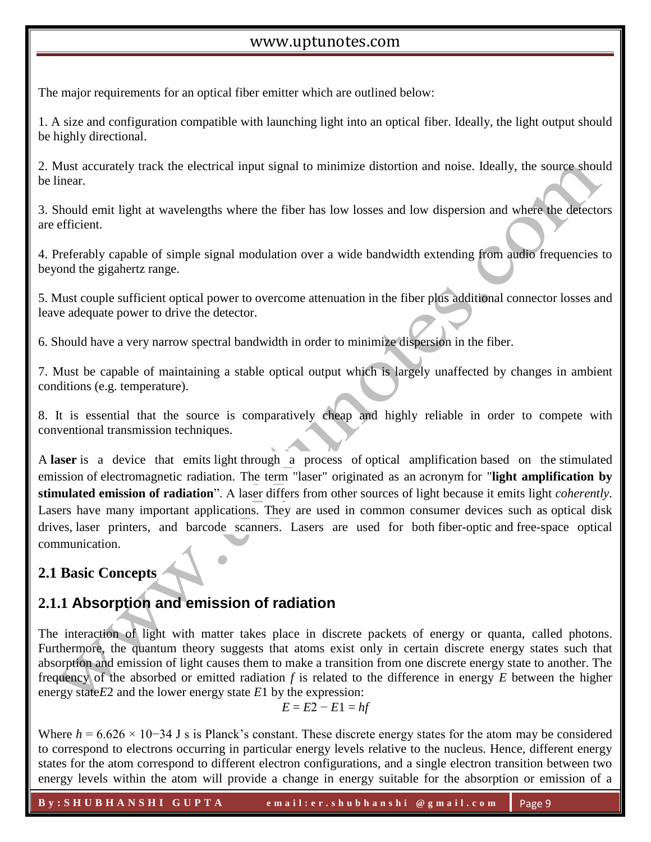The major requirements for an optical fiber emitter which are outlined below:

1. A size and configuration compatible with launching light into an optical fiber. Ideally, the light output should be highly directional.

2. Must accurately track the electrical input signal to minimize distortion and noise. Ideally, the source should be linear.

3. Should emit light at wavelengths where the fiber has low losses and low dispersion and where the detectors are efficient.

4. Preferably capable of simple signal modulation over a wide bandwidth extending from audio frequencies to beyond the gigahertz range.

5. Must couple sufficient optical power to overcome attenuation in the fiber plus additional connector losses and leave adequate power to drive the detector.

6. Should have a very narrow spectral bandwidth in order to minimize dispersion in the fiber.

7. Must be capable of maintaining a stable optical output which is largely unaffected by changes in ambient conditions (e.g. temperature).

8. It is essential that the source is comparatively cheap and highly reliable in order to compete with conventional transmission techniques.

A **laser** is a device that emits light through a process of optical amplification based on the stimulated emission of electromagnetic radiation. The term "laser" originated as an acronym for "**light amplification by stimulated emission of radiation**". A laser differs from other sources of light because it emits light *coherently*. Lasers have many important applications. They are used in common consumer devices such as optical disk drives, laser printers, and barcode scanners. Lasers are used for both fiber-optic and free-space optical communication.

# **2.1 Basic Concepts**

# **2.1.1 Absorption and emission of radiation**

The interaction of light with matter takes place in discrete packets of energy or quanta, called photons. Furthermore, the quantum theory suggests that atoms exist only in certain discrete energy states such that absorption and emission of light causes them to make a transition from one discrete energy state to another. The frequency of the absorbed or emitted radiation *f* is related to the difference in energy *E* between the higher energy state*E*2 and the lower energy state *E*1 by the expression:

$$
E = E2 - E1 = hf
$$

Where *h* = 6.626 × 10−34 J s is Planck's constant. These discrete energy states for the atom may be considered to correspond to electrons occurring in particular energy levels relative to the nucleus. Hence, different energy states for the atom correspond to different electron configurations, and a single electron transition between two energy levels within the atom will provide a change in energy suitable for the absorption or emission of a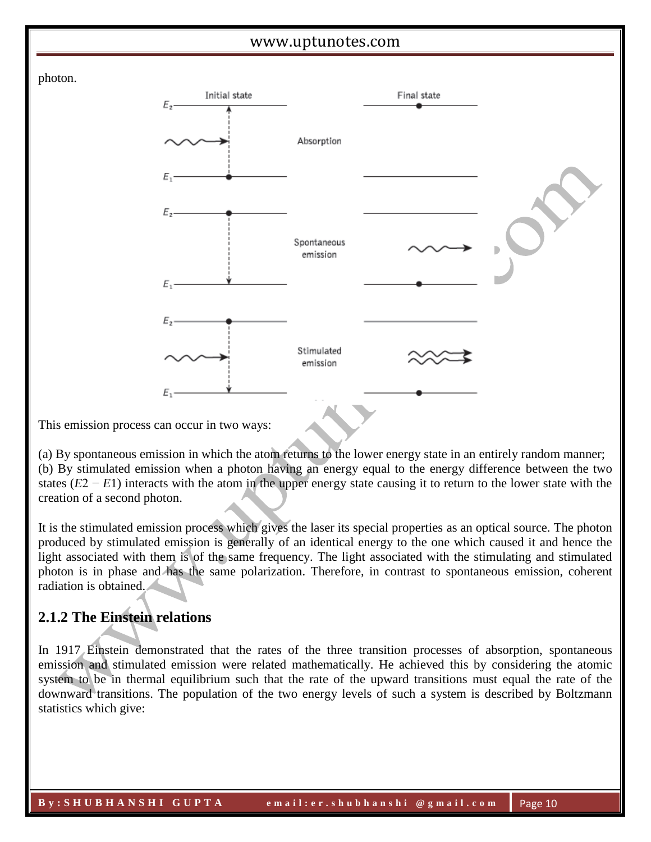



This emission process can occur in two ways:

(a) By spontaneous emission in which the atom returns to the lower energy state in an entirely random manner; (b) By stimulated emission when a photon having an energy equal to the energy difference between the two states (*E*2 − *E*1) interacts with the atom in the upper energy state causing it to return to the lower state with the creation of a second photon.

It is the stimulated emission process which gives the laser its special properties as an optical source. The photon produced by stimulated emission is generally of an identical energy to the one which caused it and hence the light associated with them is of the same frequency. The light associated with the stimulating and stimulated photon is in phase and has the same polarization. Therefore, in contrast to spontaneous emission, coherent radiation is obtained.

# **2.1.2 The Einstein relations**

In 1917 Einstein demonstrated that the rates of the three transition processes of absorption, spontaneous emission and stimulated emission were related mathematically. He achieved this by considering the atomic system to be in thermal equilibrium such that the rate of the upward transitions must equal the rate of the downward transitions. The population of the two energy levels of such a system is described by Boltzmann statistics which give: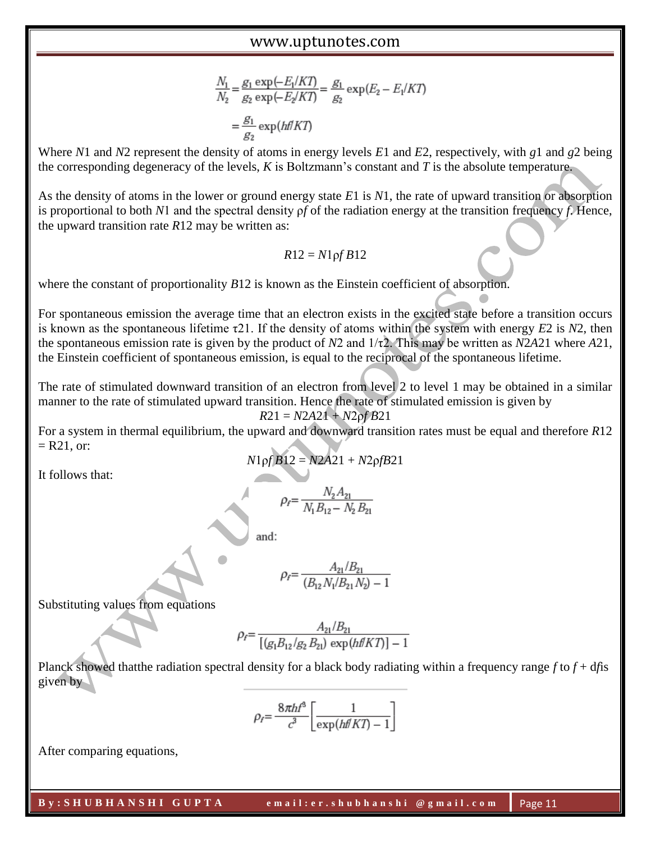$$
\frac{N_1}{N_2} = \frac{g_1 \exp(-E_1/KT)}{g_2 \exp(-E_2/KT)} = \frac{g_1}{g_2} \exp(E_2 - E_1/KT)
$$

$$
= \frac{g_1}{g_2} \exp\left(\frac{hf}{KT}\right)
$$

Where *N*1 and *N*2 represent the density of atoms in energy levels *E*1 and *E*2, respectively, with *g*1 and *g*2 being the corresponding degeneracy of the levels, *K* is Boltzmann's constant and *T* is the absolute temperature.

As the density of atoms in the lower or ground energy state *E*1 is *N*1, the rate of upward transition or absorption is proportional to both *N*1 and the spectral density ρ*f* of the radiation energy at the transition frequency *f*. Hence, the upward transition rate *R*12 may be written as:

$$
R12 = N1 \text{p}f B12
$$

where the constant of proportionality *B*12 is known as the Einstein coefficient of absorption.

For spontaneous emission the average time that an electron exists in the excited state before a transition occurs is known as the spontaneous lifetime τ21. If the density of atoms within the system with energy *E*2 is *N*2, then the spontaneous emission rate is given by the product of *N*2 and 1/τ2. This may be written as *N*2*A*21 where *A*21, the Einstein coefficient of spontaneous emission, is equal to the reciprocal of the spontaneous lifetime.

The rate of stimulated downward transition of an electron from level 2 to level 1 may be obtained in a similar manner to the rate of stimulated upward transition. Hence the rate of stimulated emission is given by

$$
R21 = N2A21 + N2 \rho f B21
$$

For a system in thermal equilibrium, the upward and downward transition rates must be equal and therefore *R*12  $=$  R21, or:

$$
N1pfB12 = N2A21 + N2pfB21
$$

It follows that:

$$
\rho_{\text{f}}{=}\frac{N_{\text{2}}A_{\text{21}}}{N_{\text{1}}B_{\text{12}}-N_{\text{2}}B_{\text{21}}}
$$

and:

$$
\rho_f = \frac{A_{21}/B_{21}}{(B_{12}N_1/B_{21}N_2) - 1}
$$

Substituting values from equations

$$
\rho_f = \frac{A_{21}/B_{21}}{[(g_1B_{12}/g_2B_{21}) \exp\left(\frac{h\ln K T}{T}\right) - 1}
$$

Planck showed thatthe radiation spectral density for a black body radiating within a frequency range *f* to *f* + d*f*is given by

$$
\rho_f = \frac{8\pi h f^3}{c^3} \left[ \frac{1}{\exp(h f k T) - 1} \right]
$$

After comparing equations,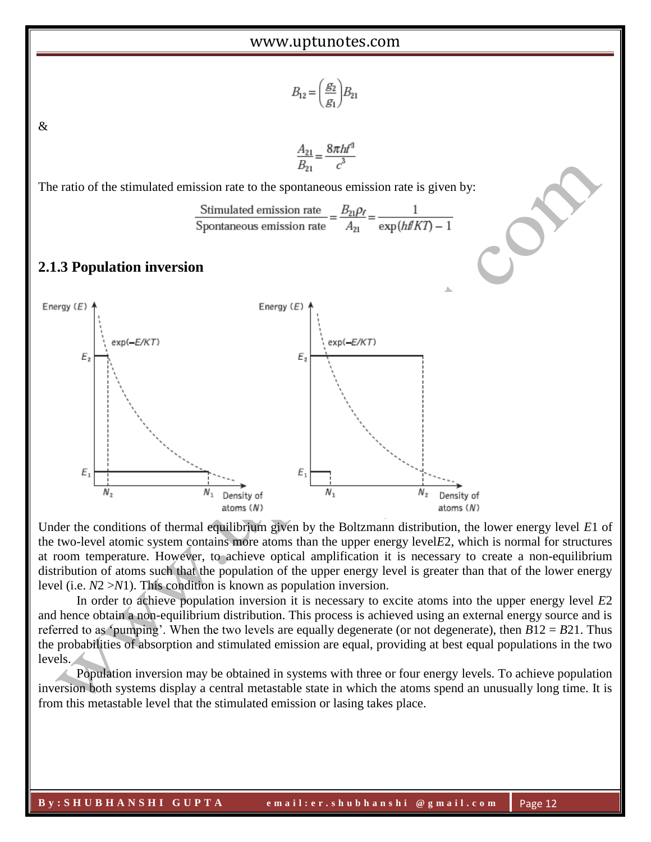$$
B_{12} = \left(\frac{g_2}{g_1}\right) B_{21}
$$

&

$$
\frac{A_{21}}{B_{21}} = \frac{8\pi h f^3}{c^3}
$$

The ratio of the stimulated emission rate to the spontaneous emission rate is given by:

Stimulated emission rate  $=$   $\frac{B_{21}\rho_f}{A_{21}} = \frac{1}{\exp(h\#KT) - 1}$ 

## **2.1.3 Population inversion**



Under the conditions of thermal equilibrium given by the Boltzmann distribution, the lower energy level *E*1 of the two-level atomic system contains more atoms than the upper energy level*E*2, which is normal for structures at room temperature. However, to achieve optical amplification it is necessary to create a non-equilibrium distribution of atoms such that the population of the upper energy level is greater than that of the lower energy level (i.e. *N*2 >*N*1). This condition is known as population inversion.

In order to achieve population inversion it is necessary to excite atoms into the upper energy level *E*2 and hence obtain a non-equilibrium distribution. This process is achieved using an external energy source and is referred to as 'pumping'. When the two levels are equally degenerate (or not degenerate), then *B*12 = *B*21. Thus the probabilities of absorption and stimulated emission are equal, providing at best equal populations in the two levels.

Population inversion may be obtained in systems with three or four energy levels. To achieve population inversion both systems display a central metastable state in which the atoms spend an unusually long time. It is from this metastable level that the stimulated emission or lasing takes place.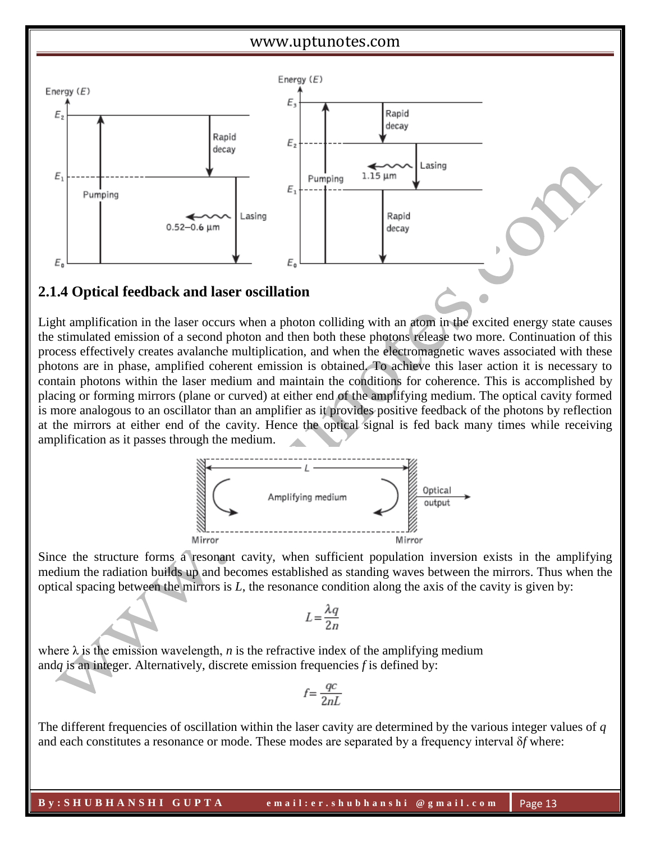

# **2.1.4 Optical feedback and laser oscillation**

Light amplification in the laser occurs when a photon colliding with an atom in the excited energy state causes the stimulated emission of a second photon and then both these photons release two more. Continuation of this process effectively creates avalanche multiplication, and when the electromagnetic waves associated with these photons are in phase, amplified coherent emission is obtained. To achieve this laser action it is necessary to contain photons within the laser medium and maintain the conditions for coherence. This is accomplished by placing or forming mirrors (plane or curved) at either end of the amplifying medium. The optical cavity formed is more analogous to an oscillator than an amplifier as it provides positive feedback of the photons by reflection at the mirrors at either end of the cavity. Hence the optical signal is fed back many times while receiving amplification as it passes through the medium.



Since the structure forms a resonant cavity, when sufficient population inversion exists in the amplifying medium the radiation builds up and becomes established as standing waves between the mirrors. Thus when the optical spacing between the mirrors is *L*, the resonance condition along the axis of the cavity is given by:

$$
L = \frac{\lambda q}{2n}
$$

where  $\lambda$  is the emission wavelength, *n* is the refractive index of the amplifying medium and*q* is an integer. Alternatively, discrete emission frequencies *f* is defined by:

$$
f = \frac{qc}{2nL}
$$

The different frequencies of oscillation within the laser cavity are determined by the various integer values of *q*  and each constitutes a resonance or mode. These modes are separated by a frequency interval δ*f* where: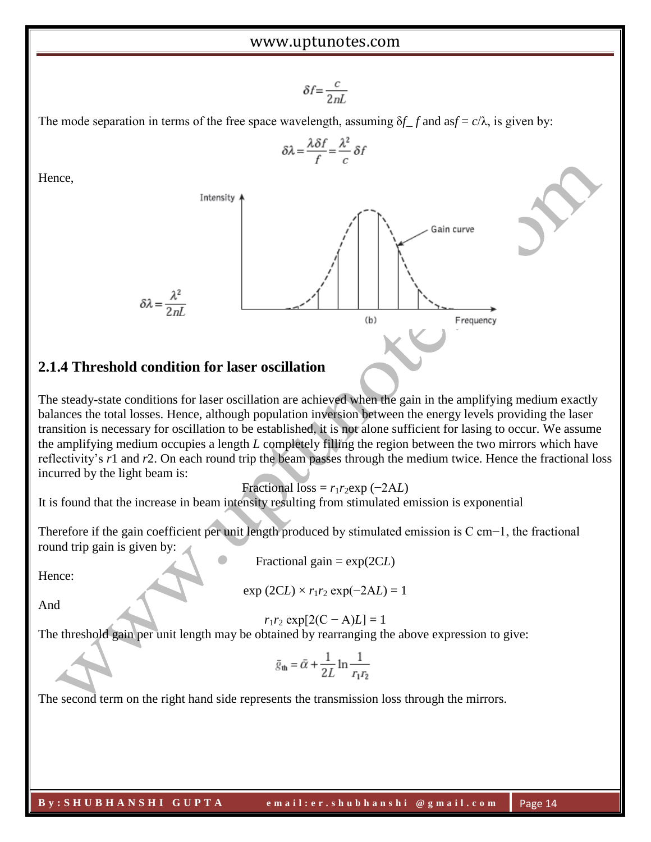$$
\delta f = \frac{c}{2nL}
$$

 $\delta \lambda = \frac{\lambda \delta f}{f} = \frac{\lambda^2}{c} \delta f$ 

The mode separation in terms of the free space wavelength, assuming  $\delta f$  *f* and as  $f = c/\lambda$ , is given by:

Intensity

\n5
$$
\lambda = \frac{\lambda^2}{2nL}
$$

\n(b)

\nFrequency

# **2.1.4 Threshold condition for laser oscillation**

The steady-state conditions for laser oscillation are achieved when the gain in the amplifying medium exactly balances the total losses. Hence, although population inversion between the energy levels providing the laser transition is necessary for oscillation to be established, it is not alone sufficient for lasing to occur. We assume the amplifying medium occupies a length *L* completely filling the region between the two mirrors which have reflectivity's *r*1 and *r*2. On each round trip the beam passes through the medium twice. Hence the fractional loss incurred by the light beam is:

Fractional loss =  $r_1r_2$ exp (−2A*L*)

It is found that the increase in beam intensity resulting from stimulated emission is exponential

Therefore if the gain coefficient per unit length produced by stimulated emission is C cm−1, the fractional round trip gain is given by:

Fractional gain = exp(2C*L*)

Hence:

Hence,

 $\exp (2CL) \times r_1 r_2 \exp(-2AL) = 1$ 

And

 $r_1r_2 \exp[2(C - A)L] = 1$ 

The threshold gain per unit length may be obtained by rearranging the above expression to give:

$$
\bar{g}_{\mathbf{th}} = \bar{\alpha} + \frac{1}{2L} \ln \frac{1}{r_1 r_2}
$$

The second term on the right hand side represents the transmission loss through the mirrors.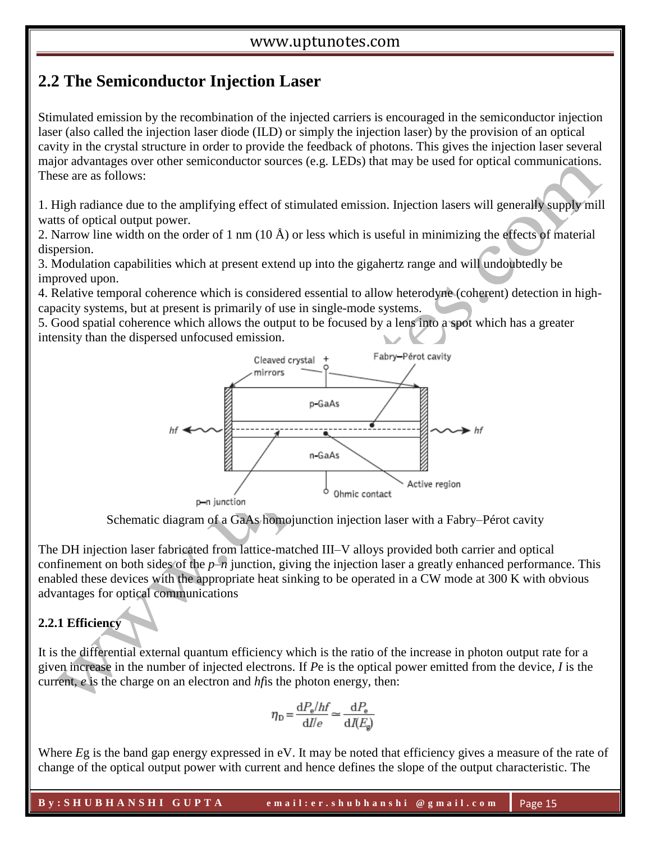# **2.2 The Semiconductor Injection Laser**

Stimulated emission by the recombination of the injected carriers is encouraged in the semiconductor injection laser (also called the injection laser diode (ILD) or simply the injection laser) by the provision of an optical cavity in the crystal structure in order to provide the feedback of photons. This gives the injection laser several major advantages over other semiconductor sources (e.g. LEDs) that may be used for optical communications. These are as follows:

1. High radiance due to the amplifying effect of stimulated emission. Injection lasers will generally supply mill watts of optical output power.

2. Narrow line width on the order of 1 nm (10 Å) or less which is useful in minimizing the effects of material dispersion.

3. Modulation capabilities which at present extend up into the gigahertz range and will undoubtedly be improved upon.

4. Relative temporal coherence which is considered essential to allow heterodyne (coherent) detection in highcapacity systems, but at present is primarily of use in single-mode systems.

5. Good spatial coherence which allows the output to be focused by a lens into a spot which has a greater intensity than the dispersed unfocused emission.



Schematic diagram of a GaAs homojunction injection laser with a Fabry–Pérot cavity

The DH injection laser fabricated from lattice-matched III–V alloys provided both carrier and optical confinement on both sides of the  $p-n$  junction, giving the injection laser a greatly enhanced performance. This enabled these devices with the appropriate heat sinking to be operated in a CW mode at 300 K with obvious advantages for optical communications

# **2.2.1 Efficiency**

It is the differential external quantum efficiency which is the ratio of the increase in photon output rate for a given increase in the number of injected electrons. If *P*e is the optical power emitted from the device, *I* is the current, *e* is the charge on an electron and *hf*is the photon energy, then:

$$
\eta_{\rm D} = \frac{\mathrm{d}P_{\rm e}/hf}{\mathrm{d}I/e} \simeq \frac{\mathrm{d}P_{\rm e}}{\mathrm{d}I(E_{\rm g})}
$$

Where *Eg* is the band gap energy expressed in eV. It may be noted that efficiency gives a measure of the rate of change of the optical output power with current and hence defines the slope of the output characteristic. The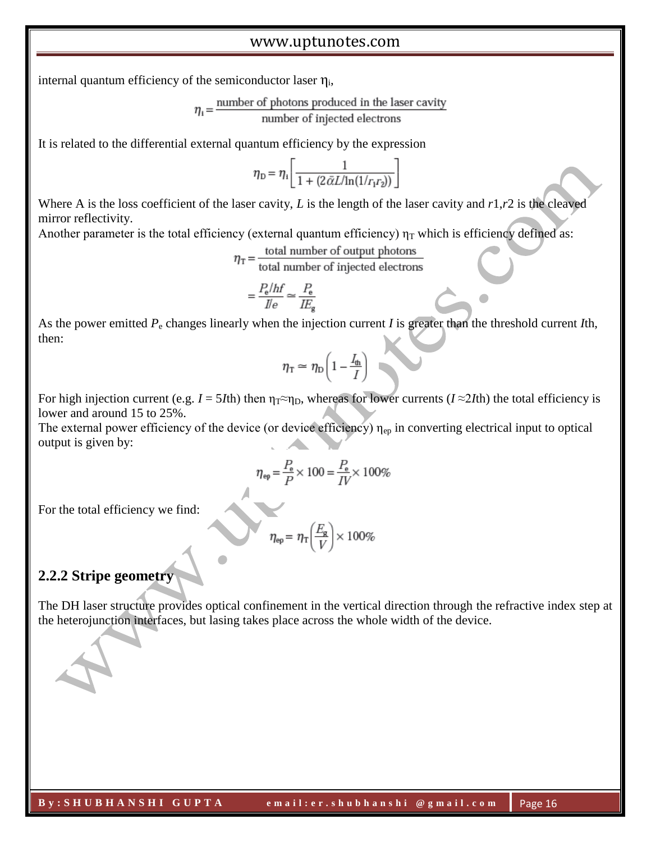internal quantum efficiency of the semiconductor laser  $\eta_i$ ,

$$
\eta_i = \frac{\text{number of photons produced in the laser cavity}}{\text{number of injected electrons}}
$$

It is related to the differential external quantum efficiency by the expression

$$
\eta_{\rm D} = \eta_{\rm i} \left[ \frac{1}{1 + (2 \tilde{\alpha} L / \ln(1/r_{\rm i} r_{\rm 2}))} \right]
$$

Where A is the loss coefficient of the laser cavity, *L* is the length of the laser cavity and *r*1,*r*2 is the cleaved mirror reflectivity.

Another parameter is the total efficiency (external quantum efficiency)  $\eta_T$  which is efficiency defined as:

$$
n_n =
$$
 total number of output photons

total number of injected electrons

$$
=\frac{P_{\rm e}/hf}{I/e}\simeq\frac{P_{\rm e}}{I E_{\rm e}}
$$

As the power emitted *P*<sup>e</sup> changes linearly when the injection current *I* is greater than the threshold current *I*th, then:

$$
\eta_{\rm T} \simeq \eta_{\rm D} \bigg( 1 - \frac{I_{\rm th}}{I} \bigg)
$$

For high injection current (e.g.  $I = 5I$ th) then  $\eta_T \approx \eta_D$ , whereas for lower currents ( $I \approx 2I$ th) the total efficiency is lower and around 15 to 25%.

The external power efficiency of the device (or device efficiency)  $\eta_{ep}$  in converting electrical input to optical output is given by:

$$
\eta_{\text{ep}} = \frac{P_{\text{e}}}{P} \times 100 = \frac{P_{\text{e}}}{IV} \times 100\%
$$

For the total efficiency we find:

$$
\eta_{\rm ep} = \eta_{\rm T} \left(\frac{E_{\rm g}}{V}\right) \times 100\%
$$

#### **2.2.2 Stripe geometry**

The DH laser structure provides optical confinement in the vertical direction through the refractive index step at the heterojunction interfaces, but lasing takes place across the whole width of the device.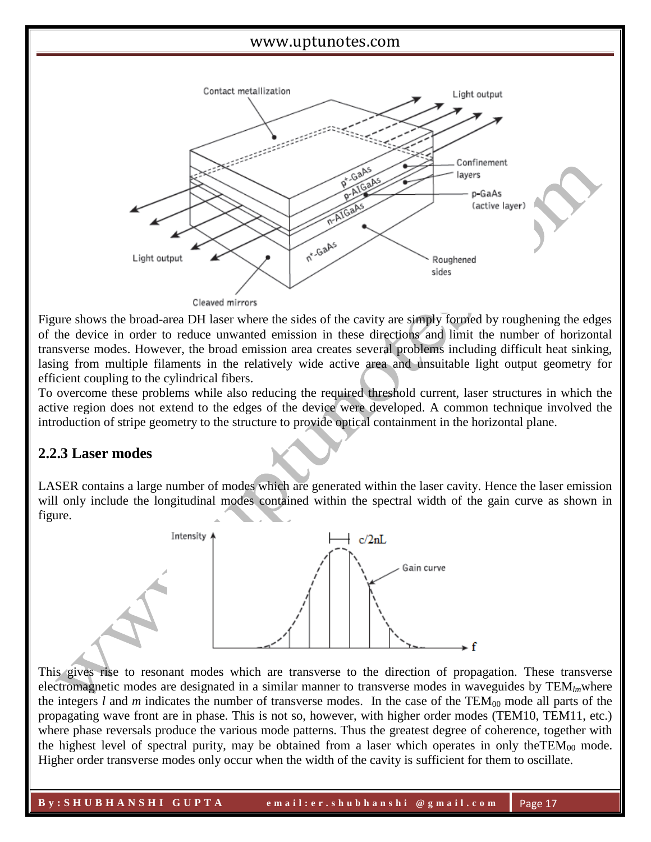

Figure shows the broad-area DH laser where the sides of the cavity are simply formed by roughening the edges of the device in order to reduce unwanted emission in these directions and limit the number of horizontal transverse modes. However, the broad emission area creates several problems including difficult heat sinking, lasing from multiple filaments in the relatively wide active area and unsuitable light output geometry for efficient coupling to the cylindrical fibers.

To overcome these problems while also reducing the required threshold current, laser structures in which the active region does not extend to the edges of the device were developed. A common technique involved the introduction of stripe geometry to the structure to provide optical containment in the horizontal plane.

# **2.2.3 Laser modes**

LASER contains a large number of modes which are generated within the laser cavity. Hence the laser emission will only include the longitudinal modes contained within the spectral width of the gain curve as shown in figure.



This gives rise to resonant modes which are transverse to the direction of propagation. These transverse electromagnetic modes are designated in a similar manner to transverse modes in waveguides by TEM*lm*where the integers  $l$  and  $m$  indicates the number of transverse modes. In the case of the  $TEM_{00}$  mode all parts of the propagating wave front are in phase. This is not so, however, with higher order modes (TEM10, TEM11, etc.) where phase reversals produce the various mode patterns. Thus the greatest degree of coherence, together with the highest level of spectral purity, may be obtained from a laser which operates in only the TEM<sub>00</sub> mode. Higher order transverse modes only occur when the width of the cavity is sufficient for them to oscillate.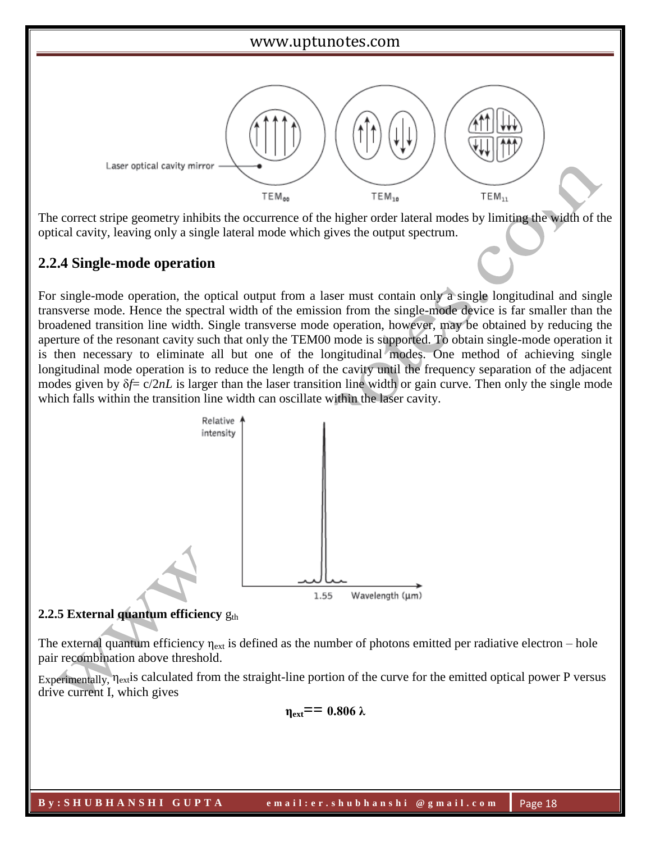

The correct stripe geometry inhibits the occurrence of the higher order lateral modes by limiting the width of the optical cavity, leaving only a single lateral mode which gives the output spectrum.

# **2.2.4 Single-mode operation**

For single-mode operation, the optical output from a laser must contain only a single longitudinal and single transverse mode. Hence the spectral width of the emission from the single-mode device is far smaller than the broadened transition line width. Single transverse mode operation, however, may be obtained by reducing the aperture of the resonant cavity such that only the TEM00 mode is supported. To obtain single-mode operation it is then necessary to eliminate all but one of the longitudinal modes. One method of achieving single longitudinal mode operation is to reduce the length of the cavity until the frequency separation of the adjacent modes given by δ*f*= c/2*nL* is larger than the laser transition line width or gain curve. Then only the single mode which falls within the transition line width can oscillate within the laser cavity.



### **2.2.5 External quantum efficiency**  $g_{th}$

The external quantum efficiency  $\eta_{ext}$  is defined as the number of photons emitted per radiative electron – hole pair recombination above threshold.

Experimentally, ηextis calculated from the straight-line portion of the curve for the emitted optical power P versus drive current I, which gives

 $η_{ext} = 0.806 \lambda$